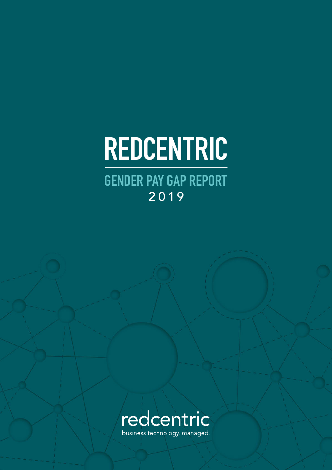# REDCENTRIC

 GENDER PAY GAP REPORT 2019



business technology. managed.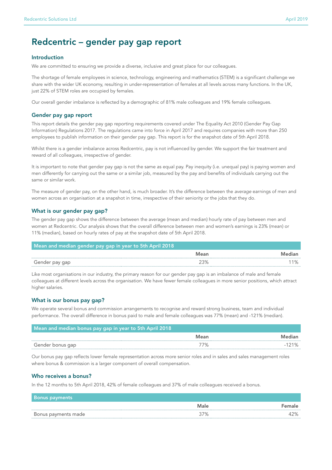## Redcentric – gender pay gap report

#### Introduction

We are committed to ensuring we provide a diverse, inclusive and great place for our colleagues.

The shortage of female employees in science, technology, engineering and mathematics (STEM) is a significant challenge we share with the wider UK economy, resulting in under-representation of females at all levels across many functions. In the UK, just 22% of STEM roles are occupied by females.

Our overall gender imbalance is reflected by a demographic of 81% male colleagues and 19% female colleagues.

#### Gender pay gap report

This report details the gender pay gap reporting requirements covered under The Equality Act 2010 (Gender Pay Gap Information) Regulations 2017. The regulations came into force in April 2017 and requires companies with more than 250 employees to publish information on their gender pay gap. This report is for the snapshot date of 5th April 2018.

Whilst there is a gender imbalance across Redcentric, pay is not influenced by gender. We support the fair treatment and reward of all colleagues, irrespective of gender.

It is important to note that gender pay gap is not the same as equal pay. Pay inequity (i.e. unequal pay) is paying women and men differently for carrying out the same or a similar job, measured by the pay and benefits of individuals carrying out the same or similar work.

The measure of gender pay, on the other hand, is much broader. It's the difference between the *average* earnings of men and women across an organisation at a snapshot in time, irrespective of their seniority or the jobs that they do.

#### What is our gender pay gap?

The gender pay gap shows the difference between the average (mean and median) hourly rate of pay between men and women at Redcentric. Our analysis shows that the overall difference between men and women's earnings is 23% (mean) or 11% (median), based on hourly rates of pay at the snapshot date of 5th April 2018.

| Mean and median gender pay gap in year to 5th April 2018 |      |        |  |
|----------------------------------------------------------|------|--------|--|
|                                                          | Mean | Mediar |  |
| Gender pay gap                                           |      |        |  |

Like most organisations in our industry, the primary reason for our gender pay gap is an imbalance of male and female colleagues at different levels across the organisation. We have fewer female colleagues in more senior positions, which attract higher salaries.

#### What is our bonus pay gap?

We operate several bonus and commission arrangements to recognise and reward strong business, team and individual performance. The overall difference in bonus paid to male and female colleagues was 77% (mean) and -121% (median).

| Mean and median bonus pay gap in year to 5th April 2018 |      |        |
|---------------------------------------------------------|------|--------|
|                                                         | Mean | Median |
| Gender bonus gap                                        |      |        |

Our bonus pay gap reflects lower female representation across more senior roles and in sales and sales management roles where bonus & commission is a larger component of overall compensation.

#### Who receives a bonus?

In the 12 months to 5th April 2018, 42% of female colleagues and 37% of male colleagues received a bonus.

| <b>Bonus payments</b> |      |   |
|-----------------------|------|---|
|                       | Male | . |
| Bonus payments made   | 7%   |   |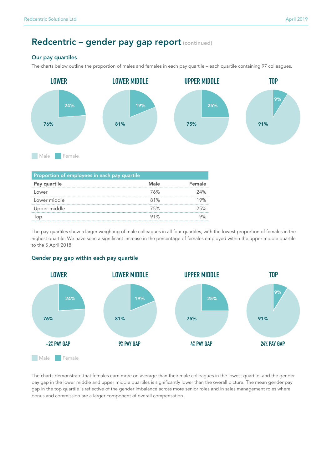## Redcentric - gender pay gap report (continued)

### Our pay quartiles

The charts below outline the proportion of males and females in each pay quartile – each quartile containing 97 colleagues.



| Proportion of employees in each pay quartile |      |        |  |
|----------------------------------------------|------|--------|--|
| Pay quartile                                 | Male | Female |  |
| Lower                                        | 76%  | 24%    |  |
| Lower middle                                 | 81%  | 19%    |  |
| Upper middle                                 | 75%  | 25%    |  |
|                                              | 91%  |        |  |

The pay quartiles show a larger weighting of male colleagues in all four quartiles, with the lowest proportion of females in the highest quartile. We have seen a significant increase in the percentage of females employed within the upper middle quartile to the 5 April 2018.

#### Gender pay gap within each pay quartile



The charts demonstrate that females earn more on average than their male colleagues in the lowest quartile, and the gender pay gap in the lower middle and upper middle quartiles is significantly lower than the overall picture. The mean gender pay gap in the top quartile is reflective of the gender imbalance across more senior roles and in sales management roles where bonus and commission are a larger component of overall compensation.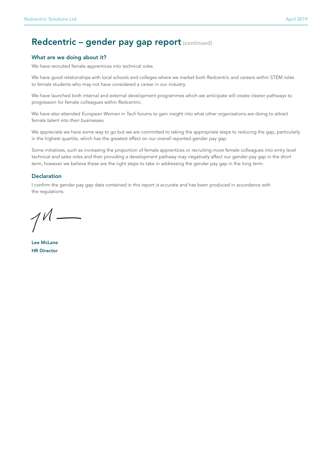## Redcentric - gender pay gap report (continued)

#### What are we doing about it?

We have recruited female apprentices into technical roles.

We have good relationships with local schools and colleges where we market both Redcentric and careers within STEM roles to female students who may not have considered a career in our industry.

We have launched both internal and external development programmes which we anticipate will create clearer pathways to progression for female colleagues within Redcentric.

We have also attended *European Women in Tech* forums to gain insight into what other organisations are doing to attract female talent into their businesses.

We appreciate we have some way to go but we are committed to taking the appropriate steps to reducing the gap, particularly in the highest quartile, which has the greatest effect on our overall reported gender pay gap.

Some initiatives, such as increasing the proportion of female apprentices or recruiting more female colleagues into entry level technical and sales roles and then providing a development pathway may negatively affect our gender pay gap in the short term, however we believe these are the right steps to take in addressing the gender pay gap in the long term.

#### **Declaration**

I confirm the gender pay gap data contained in this report is accurate and has been produced in accordance with the regulations.

Lee McLane HR Director